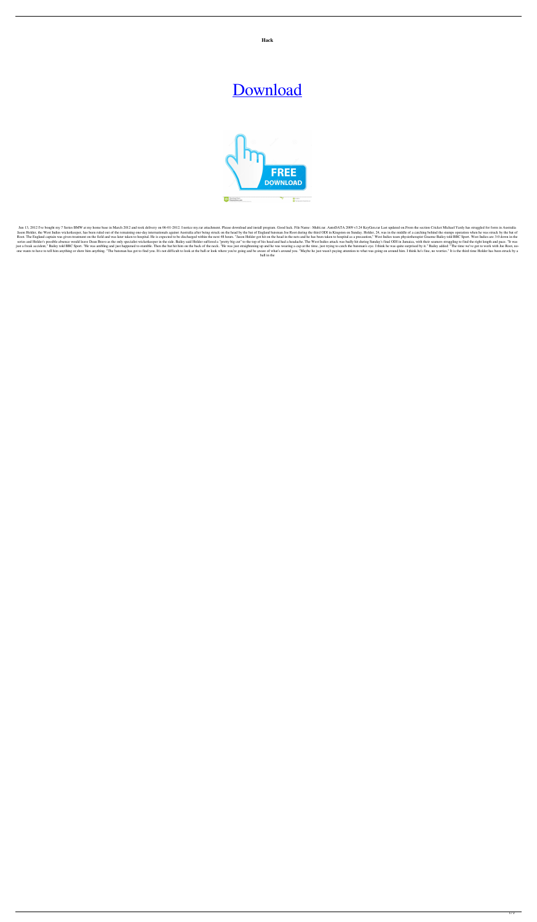**Hack**



Jun 13, 2012 I've bought my 7 Series BMW at my home base in March 2012 and took delivery on 06-01-2012. I notice my.rar attachment. Please download and install program. Good luck. File Name : Multi.rar. AutoDATA 2009 v3.24 Jason Holder, the West Indies wicketkeeper, has been ruled out of the remaining one-day internationals against Australia after being struck on the head by the bat of England batsman Joe Root during the third ODI in Kingsto Root. The England captain was given treatment on the field and was later taken to hospital. He is expected to be discharged within the next 48 hours. "Jason Holder got hit on the head in the nets and he has been taken to h series and Holder's possible absence would leave Dean Bravo as the only specialist wicketkeeper in the side. Bailey said Holder suffered a "pretty big cut" to the top of his head and had a headache. The West Indies attack just a freak accident," Bailey told BBC Sport. "He was ambling and just happened to stumble. Then the bat hit him on the back of the neck. "He was just straightening up and he was wearing a cap at the time, just trying to one wants to have to tell him anything or show him anything. "The batsman has got to find you. It's not difficult to look at the ball or look where you're going and be aware of what's around you. "Maybe he just wasn't payi

## [Download](https://ssurll.com/2l192z)